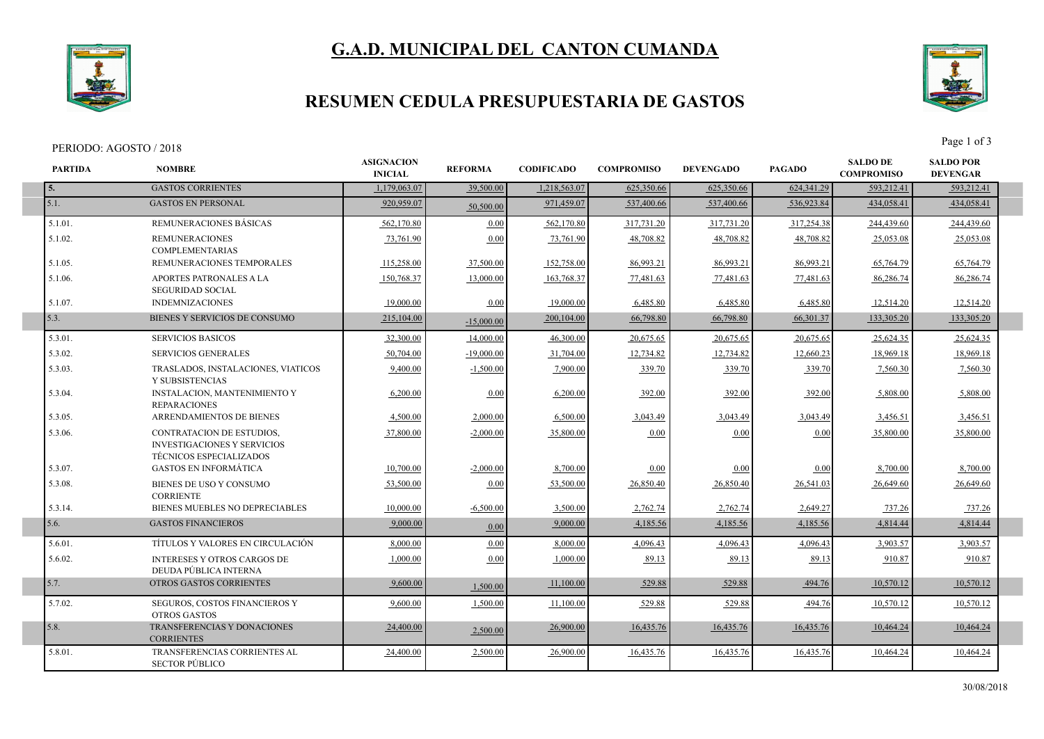## **G.A.D. MUNICIPAL DEL CANTON CUMANDA**



#### **RESUMEN CEDULA PRESUPUESTARIA DE GASTOS**

SECTOR PÚBLICO



**PARTIDA NOMBRE** PERIODO: AGOSTO / 2018 Page 1 of 3 **ASIGNACION**<br>**REFORMA INICIAL REFORMA CODIFICADO COMPROMISO SALDO DE COMPROMISO DEVENGADO PAGADO SALDO POR DEVENGAR 5.** GASTOS CORRIENTES 1,179,063.07 39,500.00 1,218,563.07 625,350.66 625,350.66 625,341.29 593,212.41 593,212.41 5.1. 920,959.07 50,500.00 GASTOS EN PERSONAL 971,459.07 537,400.66 537,400.66 536,923.84 434,058.41 434,058.41 5.1.01. REMUNERACIONES BÁSICAS 562,170.80 0.00 562,170.80 317,731.20 317,731.20 317,254.38 244,439.60 244,439.60 5.1.02. REMUNERACIONES COMPLEMENTARIAS 73,761.90 0.00 73,761.90 48,708.82 48,708.82 48,708.82 25,053.08 25,053.08 5.1.05. REMUNERACIONES TEMPORALES 115,258.00 37,500.00 152,758.00 86,993.21 86,993.21 86,993.21 65,764.79 65,764.79 5.1.06. APORTES PATRONALES A LA SEGURIDAD SOCIAL 150,768.37 13,000.00 163,768.37 77,481.63 77,481.63 77,481.63 86,286.74 86,286.74 5.1.07. INDEMNIZACIONES | 19,000.00 0.00 19,000.00 6,485.80 6,485.80 6,485.80 12,514.20 12,514.20 5.3. 215,104.00 BIENES Y SERVICIOS DE CONSUMO (200,104.00) 200,104.00 66,798.80 66,798.80 66,798.80 66,301.37 133,305.20 133,305.20 5.3.01. SERVICIOS BASICOS 1.4,000.00 14,000.00 46,300.00 20,675.65 20,675.65 20,675.65 25,624.35 25,624.35 5.3.02. SERVICIOS GENERALES | 50,704.00 | 19,000.00 | 31,704.00 | 12,734.82 | 12,734.82 | 12,660.23 | 18,969.18 | 18,969.18 5.3.03. TRASLADOS, INSTALACIONES, VIATICOS Y SUBSISTENCIAS 9,400.00 -1,500.00 7,900.00 339.70 339.70 339.70 339.70 7,560.30 7,560.30 5.3.04. INSTALACION, MANTENIMIENTO Y REPARACIONES 6,200.00 0.00 6,200.00 392.00 392.00 392.00 5,808.00 5,808.00 5.3.05. ARRENDAMIENTOS DE BIENES 4,500.00 2,000.00 2,000.00 3,043.49 3,043.49 3,043.49 3,456.51 3,456.51 3,456.51 5.3.06. CONTRATACION DE ESTUDIOS, INVESTIGACIONES Y SERVICIOS TÉCNICOS ESPECIALIZADOS  $\frac{37,800.00}{35,800.00}$   $\frac{2,000.00}{35,800.00}$   $\frac{0.00}{35,800.00}$   $\frac{0.00}{35,800.00}$   $\frac{35,800.00}{35,800.00}$ 5.3.07. GASTOS EN INFORMÁTICA 10,700.00 -2,000.00 8,700.00 0.00 0.00 0.00 8,700.00 8,700.00 5.3.08. BIENES DE USO Y CONSUMO **CORRIENTE**  $\begin{bmatrix} 53,500.00 \\ 0.00 \end{bmatrix}$   $\begin{bmatrix} 53,500.00 \\ 53,500.00 \end{bmatrix}$   $\begin{bmatrix} 26,850.40 \\ 26,850.40 \end{bmatrix}$   $\begin{bmatrix} 26,541.03 \\ 26,541.03 \end{bmatrix}$   $\begin{bmatrix} 26,649.60 \\ 26,649.60 \end{bmatrix}$ 5.3.14. BIENES MUEBLES NO DEPRECIABLES 10,000.00 -6,500.00 3,500.00 2,762.74 2,762.74 2,649.27 737.26 737.26 5.6. 9,000.00 0.00 GASTOS FINANCIEROS 9,000.00 4,185.56 4,185.56 4,185.56 4,814.44 4,814.44 5.6.01. TÍTULOS Y VALORES EN CIRCULACIÓN 8,000.00 0.00 8,000.00 4,096.43 4,096.43 4,096.43 3,903.57 3,903.57 5.6.02. INTERESES Y OTROS CARGOS DE DEUDA PÚBLICA INTERNA 1,000.00 0.00 1,000.00 89.13 89.13 89.13 910.87 910.87 5.7. 9,500.00 OTROS GASTOS CORRIENTES (1.500.00 0 1,500.00 0 11,100.00 11,100.00 529.88 529.88 529.88 529.88 10,570.12 10,570.12 10,570.12 5.7.02. SEGUROS, COSTOS FINANCIEROS Y OTROS GASTOS 9,600.00 1,500.00 11,100.00 529.88 529.88 529.88 494.76 10,570.12 10,570.12 5.8. 24,400.00 2,500.00 TRANSFERENCIAS Y DONACIONES 26,900.00 16,435.76 16,435.76 10,464.24 10,464.24 **CORRIENTES** 16,435.76 10.464.24 5.8.01. TRANSFERENCIAS CORRIENTES AL 24,400.00 2,500.00 26,900.00 16,435.76 16,435.76 16,435.76 16,435.76 16,435.76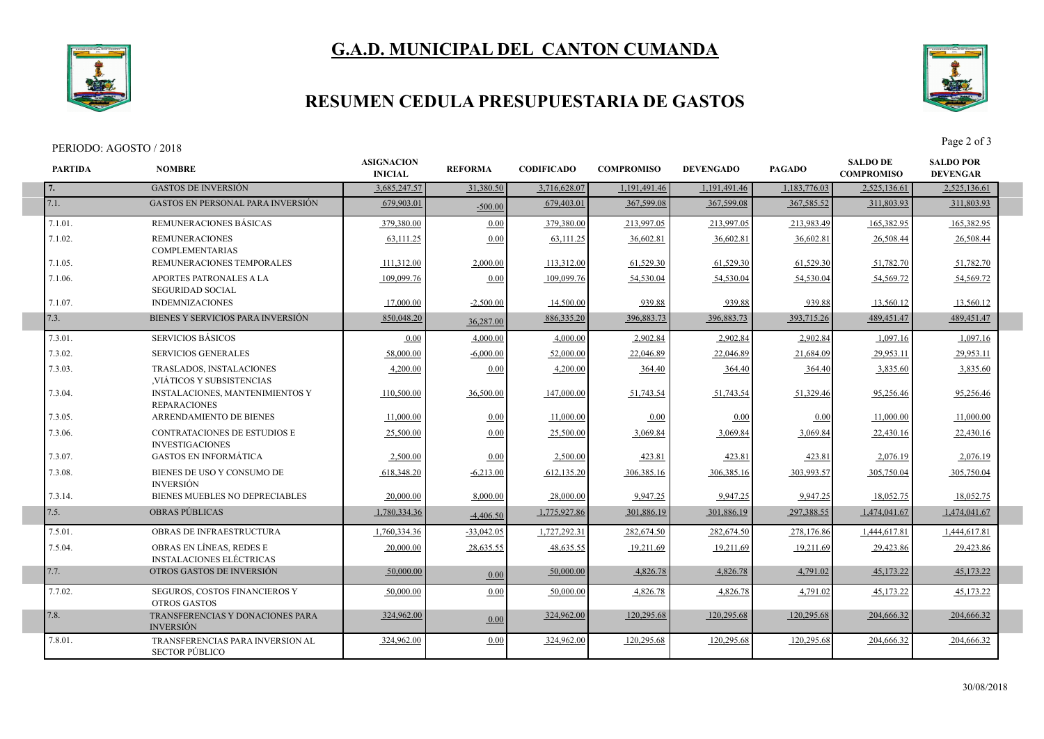# **G.A.D. MUNICIPAL DEL CANTON CUMANDA**



## **RESUMEN CEDULA PRESUPUESTARIA DE GASTOS**

#### PERIODO: AGOSTO / 2018 Page 2 of 3

I

I



| <b>PARTIDA</b> | <b>NOMBRE</b>                                                 | <b>ASIGNACION</b><br><b>INICIAL</b> | <b>REFORMA</b> | <b>CODIFICADO</b> | <b>COMPROMISO</b> | <b>DEVENGADO</b> | <b>PAGADO</b> | <b>SALDO DE</b><br><b>COMPROMISO</b> | <b>SALDO POR</b><br><b>DEVENGAR</b> |  |
|----------------|---------------------------------------------------------------|-------------------------------------|----------------|-------------------|-------------------|------------------|---------------|--------------------------------------|-------------------------------------|--|
| 7.             | <b>GASTOS DE INVERSIÓN</b>                                    | 3.685.247.57                        | 31,380.50      | 3,716,628.07      | 1,191,491.46      | 1.191.491.46     | 1.183.776.03  | 2,525,136.61                         | 2,525,136.61                        |  |
| 7.1.           | <b>GASTOS EN PERSONAL PARA INVERSIÓN</b>                      | 679,903.01                          | $-500.00$      | 679,403.01        | 367,599.08        | 367,599.08       | 367,585.52    | 311,803.93                           | 311,803.93                          |  |
| 7.1.01.        | REMUNERACIONES BÁSICAS                                        | 379,380.00                          | 0.00           | 379,380.00        | 213,997.05        | 213,997.05       | 213,983.49    | 165,382.95                           | 165,382.95                          |  |
| 7.1.02.        | <b>REMUNERACIONES</b><br><b>COMPLEMENTARIAS</b>               | 63,111.25                           | 0.00           | 63,111.25         | 36,602.81         | 36,602.81        | 36,602.81     | 26,508.44                            | 26,508.44                           |  |
| 7.1.05.        | REMUNERACIONES TEMPORALES                                     | 111,312.00                          | 2,000.00       | 113,312.00        | 61,529.30         | 61,529.30        | 61,529.30     | 51,782.70                            | 51,782.70                           |  |
| 7.1.06.        | APORTES PATRONALES A LA<br><b>SEGURIDAD SOCIAL</b>            | 109,099.76                          | 0.00           | 109,099.76        | 54,530.04         | 54,530.04        | 54,530.04     | 54,569.72                            | 54,569.72                           |  |
| 7.1.07.        | <b>INDEMNIZACIONES</b>                                        | 17,000.00                           | $-2,500.00$    | 14,500.00         | 939.88            | 939.88           | 939.88        | 13,560.12                            | 13,560.12                           |  |
| 7.3.           | BIENES Y SERVICIOS PARA INVERSIÓN                             | 850,048.20                          | 36,287.00      | 886,335.20        | 396,883.73        | 396,883.73       | 393,715.26    | 489, 451. 47                         | 489, 451. 47                        |  |
| 7.3.01.        | <b>SERVICIOS BÁSICOS</b>                                      | 0.00                                | 4,000.00       | 4,000.00          | 2,902.84          | 2,902.84         | 2,902.84      | 1,097.16                             | 1,097.16                            |  |
| 7.3.02.        | <b>SERVICIOS GENERALES</b>                                    | 58,000.00                           | $-6,000.00$    | 52,000.00         | 22,046.89         | 22,046.89        | 21,684.09     | 29,953.11                            | 29,953.11                           |  |
| 7.3.03.        | <b>TRASLADOS, INSTALACIONES</b><br>VIÁTICOS Y SUBSISTENCIAS   | 4.200.00                            | 0.00           | 4.200.00          | 364.40            | 364.40           | 364.40        | 3.835.60                             | 3,835.60                            |  |
| 7.3.04.        | <b>INSTALACIONES, MANTENIMIENTOS Y</b><br><b>REPARACIONES</b> | 110,500.00                          | 36,500.00      | 147,000.00        | 51,743.54         | 51,743.54        | 51,329.46     | 95,256.46                            | 95,256.46                           |  |
| 7.3.05.        | ARRENDAMIENTO DE BIENES                                       | 11,000.00                           | 0.00           | 11,000.00         | 0.00              | 0.00             | 0.00          | 11.000.00                            | 11,000.00                           |  |
| 7.3.06.        | <b>CONTRATACIONES DE ESTUDIOS E</b><br><b>INVESTIGACIONES</b> | 25.500.00                           | 0.00           | 25,500.00         | 3.069.84          | 3,069.84         | 3.069.84      | 22.430.16                            | 22,430.16                           |  |
| 7.3.07.        | <b>GASTOS EN INFORMÁTICA</b>                                  | 2,500.00                            | 0.00           | 2,500.00          | 423.81            | 423.81           | 423.81        | 2,076.19                             | 2,076.19                            |  |
| 7.3.08.        | BIENES DE USO Y CONSUMO DE<br><b>INVERSIÓN</b>                | 618,348.20                          | $-6,213.00$    | 612,135.20        | 306, 385.16       | 306, 385.16      | 303,993.57    | 305,750.04                           | 305,750.04                          |  |
| 7.3.14.        | BIENES MUEBLES NO DEPRECIABLES                                | 20,000.00                           | 8.000.00       | 28,000.00         | 9,947.25          | 9,947.25         | 9,947.25      | 18.052.75                            | 18,052.75                           |  |
| 7.5.           | <b>OBRAS PÚBLICAS</b>                                         | 1,780,334.36                        | $-4,406.50$    | 1,775,927.86      | 301,886.19        | 301,886.19       | 297,388.55    | 1,474,041.67                         | 1,474,041.67                        |  |
| 7.5.01.        | OBRAS DE INFRAESTRUCTURA                                      | 1,760,334.36                        | $-33,042.05$   | 1,727,292.31      | 282,674.50        | 282,674.50       | 278,176.86    | 1,444,617.81                         | 1,444,617.81                        |  |
| 7.5.04.        | OBRAS EN LÍNEAS, REDES E<br><b>INSTALACIONES ELÉCTRICAS</b>   | 20,000.00                           | 28,635.55      | 48,635.55         | 19,211.69         | 19,211.69        | 19,211.69     | 29,423.86                            | 29,423.86                           |  |
| 7.7.           | OTROS GASTOS DE INVERSIÓN                                     | 50,000.00                           | 0.00           | 50,000.00         | 4,826.78          | 4,826.78         | 4,791.02      | 45,173.22                            | 45,173.22                           |  |
| 7.7.02.        | SEGUROS, COSTOS FINANCIEROS Y<br><b>OTROS GASTOS</b>          | 50,000.00                           | 0.00           | 50,000.00         | 4,826.78          | 4,826.78         | 4,791.02      | 45,173.22                            | 45,173.22                           |  |
| 7.8.           | TRANSFERENCIAS Y DONACIONES PARA<br><b>INVERSIÓN</b>          | 324,962.00                          | 0.00           | 324,962.00        | 120,295.68        | 120,295.68       | 120,295.68    | 204,666.32                           | 204,666.32                          |  |
| 7.8.01.        | TRANSFERENCIAS PARA INVERSION AL<br><b>SECTOR PÚBLICO</b>     | 324,962.00                          | 0.00           | 324,962.00        | 120,295.68        | 120,295.68       | 120,295.68    | 204,666.32                           | 204,666.32                          |  |